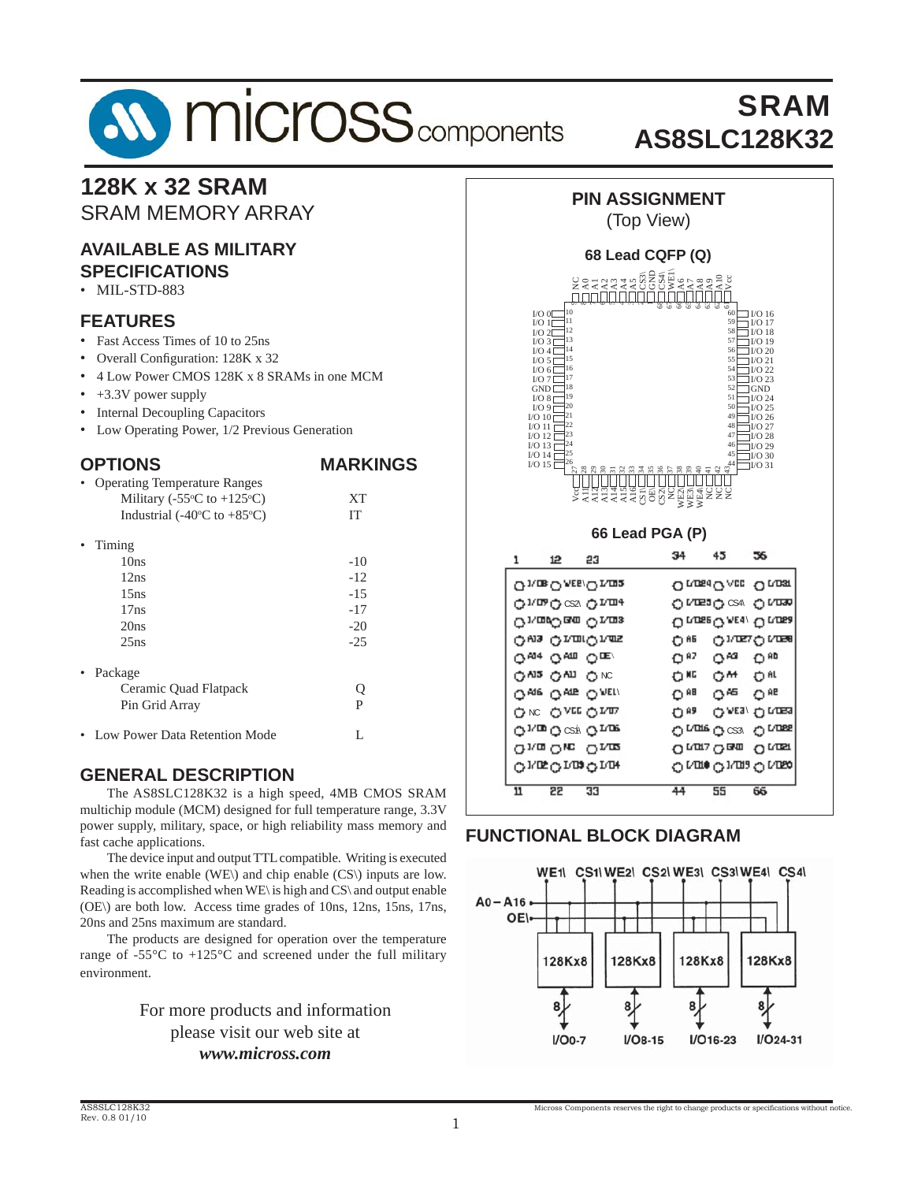# **SV MICrOSS** components

# SRAM **AS8SLC128K32**

### **128K x 32 SRAM** SRAM MEMORY ARRAY

#### **AVAILABLE AS MILITARY SPECIFICATIONS**

### • MIL-STD-883

#### **FEATURES**

- Fast Access Times of 10 to 25ns
- Overall Configuration: 128K x 32
- 4 Low Power CMOS 128K x 8 SRAMs in one MCM
- +3.3V power supply
- Internal Decoupling Capacitors
- Low Operating Power, 1/2 Previous Generation

#### **OPTIONS MARKINGS**

| <b>Operating Temperature Ranges</b>              |        |
|--------------------------------------------------|--------|
| Military (-55 $\degree$ C to +125 $\degree$ C)   | XТ     |
| Industrial (-40 $\rm ^{o}C$ to +85 $\rm ^{o}C$ ) | IТ     |
| Timing                                           |        |
| 10ns                                             | $-10$  |
| 12ns                                             | $-12$  |
| 15ns                                             | $-1.5$ |
| 17ns                                             | $-17$  |
| 20ns                                             | $-20$  |
| 25ns                                             | $-25$  |
| Package                                          |        |
| Ceramic Quad Flatpack                            | Q      |
| Pin Grid Array                                   | P      |
| Low Power Data Retention Mode                    | L      |

### **GENERAL DESCRIPTION**

The AS8SLC128K32 is a high speed, 4MB CMOS SRAM multichip module (MCM) designed for full temperature range, 3.3V power supply, military, space, or high reliability mass memory and fast cache applications.

 The device input and output TTL compatible. Writing is executed when the write enable (WE\) and chip enable (CS\) inputs are low. Reading is accomplished when WE\ is high and CS\ and output enable (OE\) are both low. Access time grades of 10ns, 12ns, 15ns, 17ns, 20ns and 25ns maximum are standard.

 The products are designed for operation over the temperature range of  $-55^{\circ}$ C to  $+125^{\circ}$ C and screened under the full military environment.

#### For more products and information please visit our web site at *www.micross.com*



| On ossi On assi       |
|-----------------------|
| о иша о сѕа о иша     |
| Orunse O AE s/O Runsa |
| он олетоива           |
| റെ ഗുഷ റണ             |
| ок он ок              |
| ⊕≋<br>ഠ≌ ഠ≝           |
| Олға Олда<br>白胆       |
| O NORE O CS31 O NORE  |
| Onon Onus Onus        |
| റശാം രേശാം            |
| 55<br>66<br>44.       |
|                       |

### **FUNCTIONAL BLOCK DIAGRAM**

 $\mathbf{1}$ 

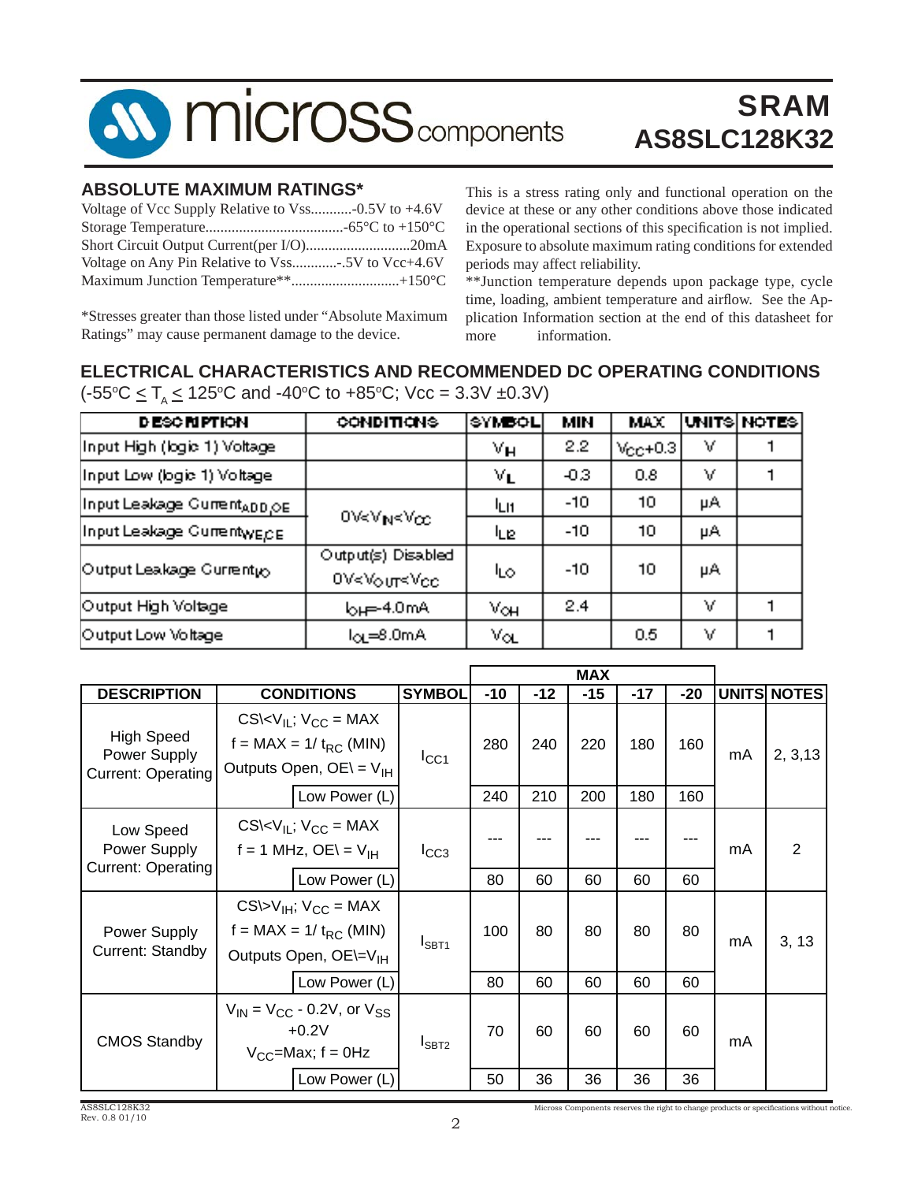

### **ABSOLUTE MAXIMUM RATINGS\***

| Voltage of Vcc Supply Relative to Vss-0.5V to +4.6V |  |
|-----------------------------------------------------|--|
|                                                     |  |
|                                                     |  |
| Voltage on Any Pin Relative to Vss5V to Vcc+4.6V    |  |
|                                                     |  |

This is a stress rating only and functional operation on the device at these or any other conditions above those indicated in the operational sections of this specification is not implied. Exposure to absolute maximum rating conditions for extended periods may affect reliability.

\*Stresses greater than those listed under "Absolute Maximum Ratings" may cause permanent damage to the device.

\*\*Junction temperature depends upon package type, cycle time, loading, ambient temperature and airflow. See the Application Information section at the end of this datasheet for more information.

### **ELECTRICAL CHARACTERISTICS AND RECOMMENDED DC OPERATING CONDITIONS** (-55°C  $\leq$  T<sub>A</sub>  $\leq$  125°C and -40°C to +85°C; Vcc = 3.3V ±0.3V)

| <b>DESCRIPTION</b>                      | <b>CONDITIONS</b>                                                                                                          | <b>SYMBOL</b>              | <b>MIN</b> | <b>MAX</b>        |     | UNITS NOTES |
|-----------------------------------------|----------------------------------------------------------------------------------------------------------------------------|----------------------------|------------|-------------------|-----|-------------|
| Input High (logic 1) Voltage            |                                                                                                                            | Vн                         | 2.2        | $V_{\rm CP}$ +0.3 | Μ   |             |
| Input Low (logic 1) Voltage             |                                                                                                                            | $\mathbf{v}_L$             | $-0.3$     | 0.8               | M   |             |
| Input Leakage Current <sub>ADD.OE</sub> | $0$ V <v<math>_{\rm N}<v<math>_{\rm CC}</v<math></v<math>                                                                  | <sup>I</sup> LI1           | $-10$      | 10                | μA. |             |
| Input Leakage Current <sub>WECE</sub>   |                                                                                                                            | ևք                         | $-10$      | 10                | μA  |             |
| Output Leakage Current <sub>ko</sub>    | Output(s) Disabled<br>0V <vour<vcc< td=""><td>ات⊔</td><td><math>-10</math></td><td>חר</td><td>μA</td><td></td></vour<vcc<> | ات⊔                        | $-10$      | חר                | μA  |             |
| Output High Voltage                     | $b$ <sub>H</sub> $=$ 4.0mA                                                                                                 | $V_{\rm OH}$               | 2.4        |                   | Υ   |             |
| Output Low Voltage                      | $I_{OL} = 8.0$ m $A$                                                                                                       | $\mathsf{V}_{\mathsf{OL}}$ |            | 0.5               | V   |             |

|                                                                |                                                                                                               |               |       |       | <b>MAX</b> |       |       |    |                    |
|----------------------------------------------------------------|---------------------------------------------------------------------------------------------------------------|---------------|-------|-------|------------|-------|-------|----|--------------------|
| <b>DESCRIPTION</b>                                             | <b>CONDITIONS</b>                                                                                             | <b>SYMBOL</b> | $-10$ | $-12$ | $-15$      | $-17$ | $-20$ |    | <b>UNITS NOTES</b> |
| <b>High Speed</b><br>Power Supply<br><b>Current: Operating</b> | $CS\&\V_{II}$ ; $V_{CC}$ = MAX<br>$f = MAX = 1 / t_{RC}$ (MIN)<br>Outputs Open, $OE = V_{IH}$                 | $I_{\rm CC1}$ | 280   | 240   | 220        | 180   | 160   | mA | 2, 3, 13           |
|                                                                | Low Power (L)                                                                                                 |               | 240   | 210   | 200        | 180   | 160   |    |                    |
| Low Speed<br>Power Supply                                      | $CS\&V_{IL}$ ; $V_{CC}$ = MAX<br>$f = 1$ MHz, OE\ = V <sub>IH</sub>                                           | $I_{CC3}$     |       |       |            |       |       | mA | $\overline{2}$     |
| <b>Current: Operating</b>                                      | Low Power (L)                                                                                                 |               | 80    | 60    | 60         | 60    | 60    |    |                    |
| Power Supply<br>Current: Standby                               | $CS\triangleright V_{IH}$ ; $V_{CC}$ = MAX<br>f = MAX = $1/t_{RC}$ (MIN)<br>Outputs Open, OE\=V <sub>IH</sub> | $I_{SBT1}$    | 100   | 80    | 80         | 80    | 80    | mA | 3, 13              |
|                                                                | Low Power (L)                                                                                                 |               | 80    | 60    | 60         | 60    | 60    |    |                    |
| <b>CMOS Standby</b>                                            | $V_{IN}$ = $V_{CC}$ - 0.2V, or $V_{SS}$<br>$+0.2V$<br>$V_{CC}$ =Max; f = 0Hz                                  | $I_{SBT2}$    | 70    | 60    | 60         | 60    | 60    | mA |                    |
|                                                                | Low Power (L)                                                                                                 |               | 50    | 36    | 36         | 36    | 36    |    |                    |

Micross Components reserves the right to change products or specifications without notice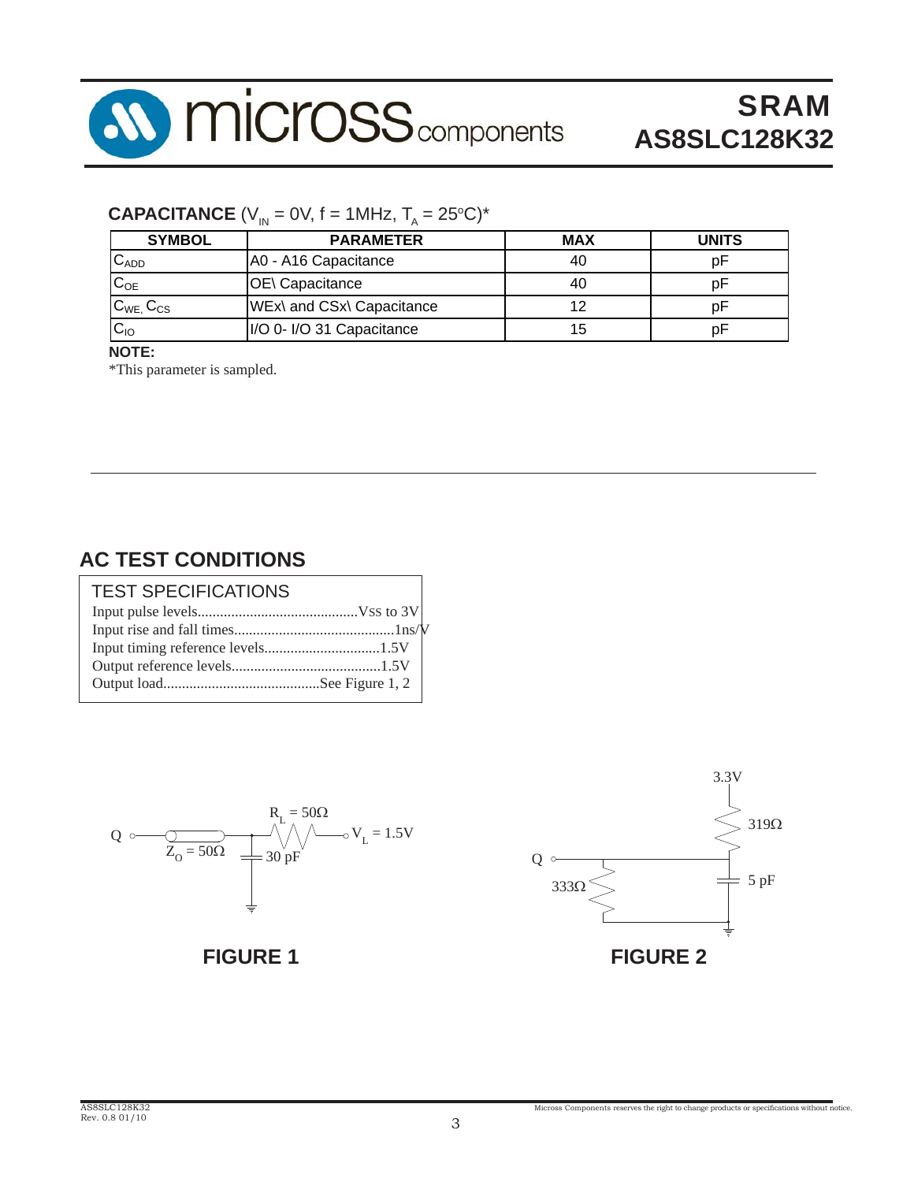

### **CAPACITANCE** (V<sub>IN</sub> = 0V, f = 1MHz, T<sub>A</sub> = 25°C)\*

| <b>SYMBOL</b>       | <b>PARAMETER</b>          | <b>MAX</b> | <b>UNITS</b> |
|---------------------|---------------------------|------------|--------------|
| $C_{ADD}$           | A0 - A16 Capacitance      | 40         |              |
| $C_{OE}$            | OE\ Capacitance           | 40         |              |
| $C_{WE}$ , $C_{CS}$ | WEx\ and CSx\ Capacitance | 12         |              |
| $C_{10}$            | I/O 0- I/O 31 Capacitance | 15         |              |

#### **NOTE:**

\*This parameter is sampled.

### **AC TEST CONDITIONS**

| <b>TEST SPECIFICATIONS</b> |  |
|----------------------------|--|
|                            |  |
|                            |  |
|                            |  |
|                            |  |
|                            |  |





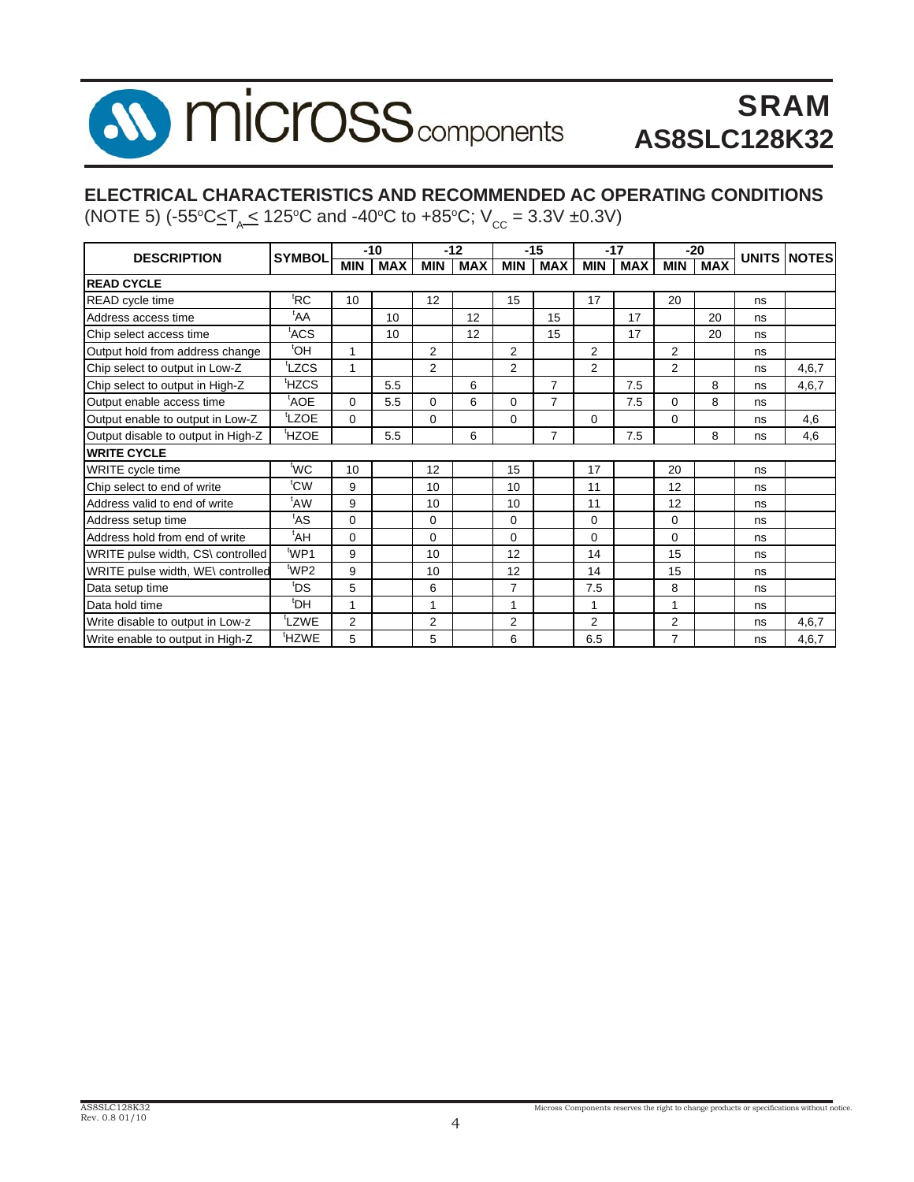### I. **MICroSS** components  $\boldsymbol{\lambda}$

# SRAM **AS8SLC128K32**

### **ELECTRICAL CHARACTERISTICS AND RECOMMENDED AC OPERATING CONDITIONS**

(NOTE 5)  $(-55^{\circ}\text{C} \leq \text{T}_{A} \leq 125^{\circ}\text{C}$  and -40°C to +85°C;  $V_{\text{cc}} = 3.3V \pm 0.3V$ )

| <b>DESCRIPTION</b>                 | <b>SYMBOL</b>     |                | $-10$      |                | $-12$      |                | $-15$          |                | $-17$      |                | $-20$      | <b>UNITS</b> | <b>INOTES</b> |
|------------------------------------|-------------------|----------------|------------|----------------|------------|----------------|----------------|----------------|------------|----------------|------------|--------------|---------------|
|                                    |                   | <b>MIN</b>     | <b>MAX</b> | <b>MIN</b>     | <b>MAX</b> | <b>MIN</b>     | <b>MAX</b>     | <b>MIN</b>     | <b>MAX</b> | <b>MIN</b>     | <b>MAX</b> |              |               |
| <b>READ CYCLE</b>                  |                   |                |            |                |            |                |                |                |            |                |            |              |               |
| <b>READ</b> cycle time             | <sup>t</sup> RC   | 10             |            | 12             |            | 15             |                | 17             |            | 20             |            | ns           |               |
| Address access time                | <sup>t</sup> AA   |                | 10         |                | 12         |                | 15             |                | 17         |                | 20         | ns           |               |
| Chip select access time            | tACS              |                | 10         |                | 12         |                | 15             |                | 17         |                | 20         | ns           |               |
| Output hold from address change    | <sup>t</sup> OH   | 1              |            | $\overline{2}$ |            | 2              |                | $\overline{2}$ |            | 2              |            | ns           |               |
| Chip select to output in Low-Z     | tLZCS             | 1              |            | $\mathcal{P}$  |            | $\overline{2}$ |                | $\mathfrak{p}$ |            | $\mathcal{P}$  |            | ns           | 4.6.7         |
| Chip select to output in High-Z    | <sup>t</sup> HZCS |                | 5.5        |                | 6          |                | $\overline{7}$ |                | 7.5        |                | 8          | ns           | 4,6,7         |
| Output enable access time          | <sup>t</sup> AOE  | $\Omega$       | 5.5        | $\Omega$       | 6          | $\Omega$       | $\overline{7}$ |                | 7.5        | $\Omega$       | 8          | ns           |               |
| Output enable to output in Low-Z   | <sup>t</sup> LZOE | $\Omega$       |            | $\Omega$       |            | $\Omega$       |                | $\Omega$       |            | $\Omega$       |            | ns           | 4,6           |
| Output disable to output in High-Z | <sup>t</sup> HZOE |                | 5.5        |                | 6          |                | $\overline{7}$ |                | 7.5        |                | 8          | ns           | 4,6           |
| <b>WRITE CYCLE</b>                 |                   |                |            |                |            |                |                |                |            |                |            |              |               |
| WRITE cycle time                   | <sup>t</sup> WC   | 10             |            | 12             |            | 15             |                | 17             |            | 20             |            | ns           |               |
| Chip select to end of write        | tcw               | 9              |            | 10             |            | 10             |                | 11             |            | 12             |            | ns           |               |
| Address valid to end of write      | <sup>t</sup> AW   | 9              |            | 10             |            | 10             |                | 11             |            | 12             |            | ns           |               |
| Address setup time                 | <sup>t</sup> AS   | $\Omega$       |            | $\Omega$       |            | $\Omega$       |                | $\Omega$       |            | $\Omega$       |            | ns           |               |
| Address hold from end of write     | <sup>t</sup> AH   | $\Omega$       |            | $\Omega$       |            | $\Omega$       |                | $\Omega$       |            | $\Omega$       |            | ns           |               |
| WRITE pulse width, CS\ controlled  | 'WP1              | 9              |            | 10             |            | 12             |                | 14             |            | 15             |            | ns           |               |
| WRITE pulse width, WE\ controlled  | <sup>t</sup> WP2  | 9              |            | 10             |            | 12             |                | 14             |            | 15             |            | ns           |               |
| Data setup time                    | t <sub>DS</sub>   | 5              |            | 6              |            | $\overline{7}$ |                | 7.5            |            | 8              |            | ns           |               |
| Data hold time                     | <sup>t</sup> DH   | 1              |            | 1              |            | 1              |                | 1              |            | 1              |            | ns           |               |
| Write disable to output in Low-z   | tLZWE             | $\overline{2}$ |            | $\overline{2}$ |            | $\overline{2}$ |                | 2              |            | $\overline{2}$ |            | ns           | 4,6,7         |
| Write enable to output in High-Z   | <sup>t</sup> HZWE | 5              |            | 5              |            | 6              |                | 6.5            |            | $\overline{7}$ |            | ns           | 4,6,7         |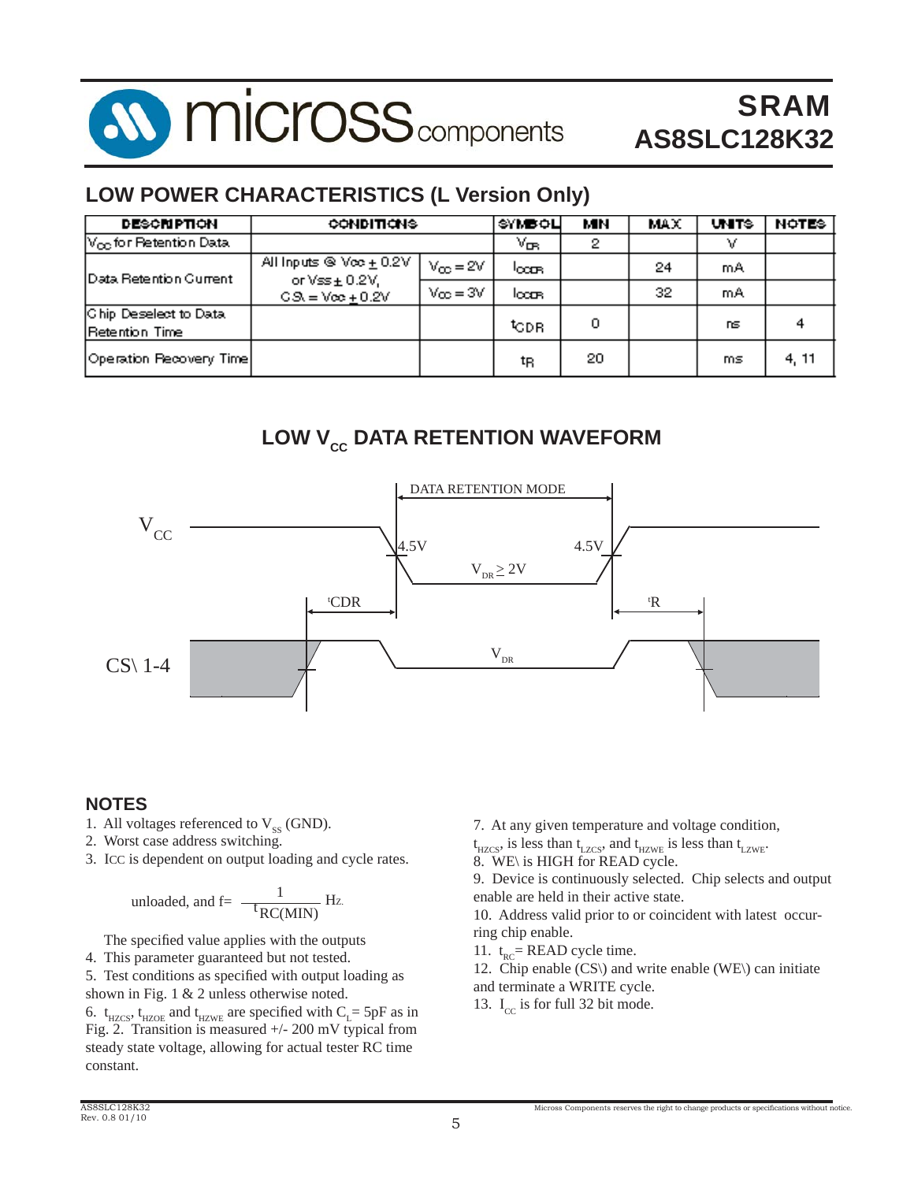

### **LOW POWER CHARACTERISTICS (L Version Only)**

| <b>DESCRIPTION</b>                             | <b>CONDITIONS</b>                                                                   | SYMBOLI              | MН              | MAX | <b>UNITS</b> | <b>NOTES</b> |       |
|------------------------------------------------|-------------------------------------------------------------------------------------|----------------------|-----------------|-----|--------------|--------------|-------|
| $\mathsf{V}_{\mathsf{OD}}$ for Retention Data. |                                                                                     |                      | V <sub>ва</sub> | 2   |              | v            |       |
| <b>IData Retention Current</b>                 | All inputs $\otimes \vee \infty \pm 0.2V$<br>or $\sqrt{\text{ss}} \pm 0.2 \sqrt{3}$ | $V_{\text{CO}} = 2V$ | locas.          |     | 24           | mA           |       |
|                                                | $GS = V\infty + 0.2V$                                                               | $V_{\text{CO}} = 3V$ | locas.          |     | 32.          | mA           |       |
| Chip Deselect to Data<br>Retention Time        |                                                                                     |                      | topr            | 0   |              | ns           |       |
| Operation Recovery Time                        |                                                                                     |                      | tŖ              | 20  |              | ms           | 4, 11 |

# **LOW V<sub>cc</sub> DATA RETENTION WAVEFORM**



### **NOTES**

- 1. All voltages referenced to  $V_{ss}$  (GND).
- 2. Worst case address switching.
- 3. ICC is dependent on output loading and cycle rates.

unloaded, and f=
$$
\frac{1}{\text{RC}(MIN)}
$$
 Hz.

The specified value applies with the outputs

4. This parameter guaranteed but not tested.

5. Test conditions as specified with output loading as shown in Fig. 1 & 2 unless otherwise noted.

6.  $t_{HZCS}$ ,  $t_{HZOE}$  and  $t_{HZWE}$  are specified with  $C_{L}$  = 5pF as in Fig. 2. Transition is measured +/- 200 mV typical from steady state voltage, allowing for actual tester RC time constant.

7. At any given temperature and voltage condition,

 $t_{\text{HZCS}}$ , is less than  $t_{\text{LZCS}}$ , and  $t_{\text{HZWE}}$  is less than  $t_{\text{LZWE}}$ . 8. WE\ is HIGH for READ cycle.

9. Device is continuously selected. Chip selects and output enable are held in their active state.

10. Address valid prior to or coincident with latest occurring chip enable.

11.  $t_{RC}$ = READ cycle time.

12. Chip enable  $(CS)$  and write enable  $(WE)$  can initiate and terminate a WRITE cycle.

13.  $I_{cc}$  is for full 32 bit mode.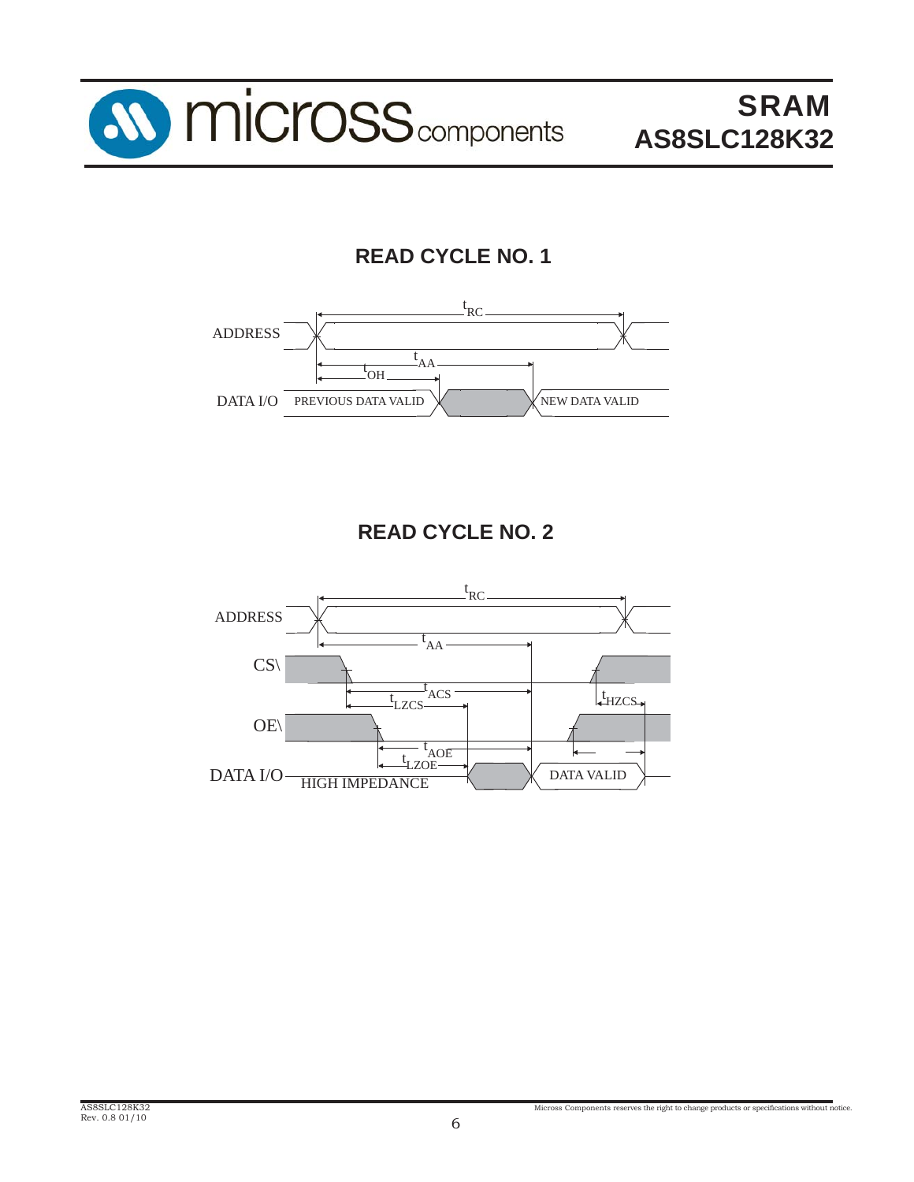

# **READ CYCLE NO. 1**



# **READ CYCLE NO. 2**

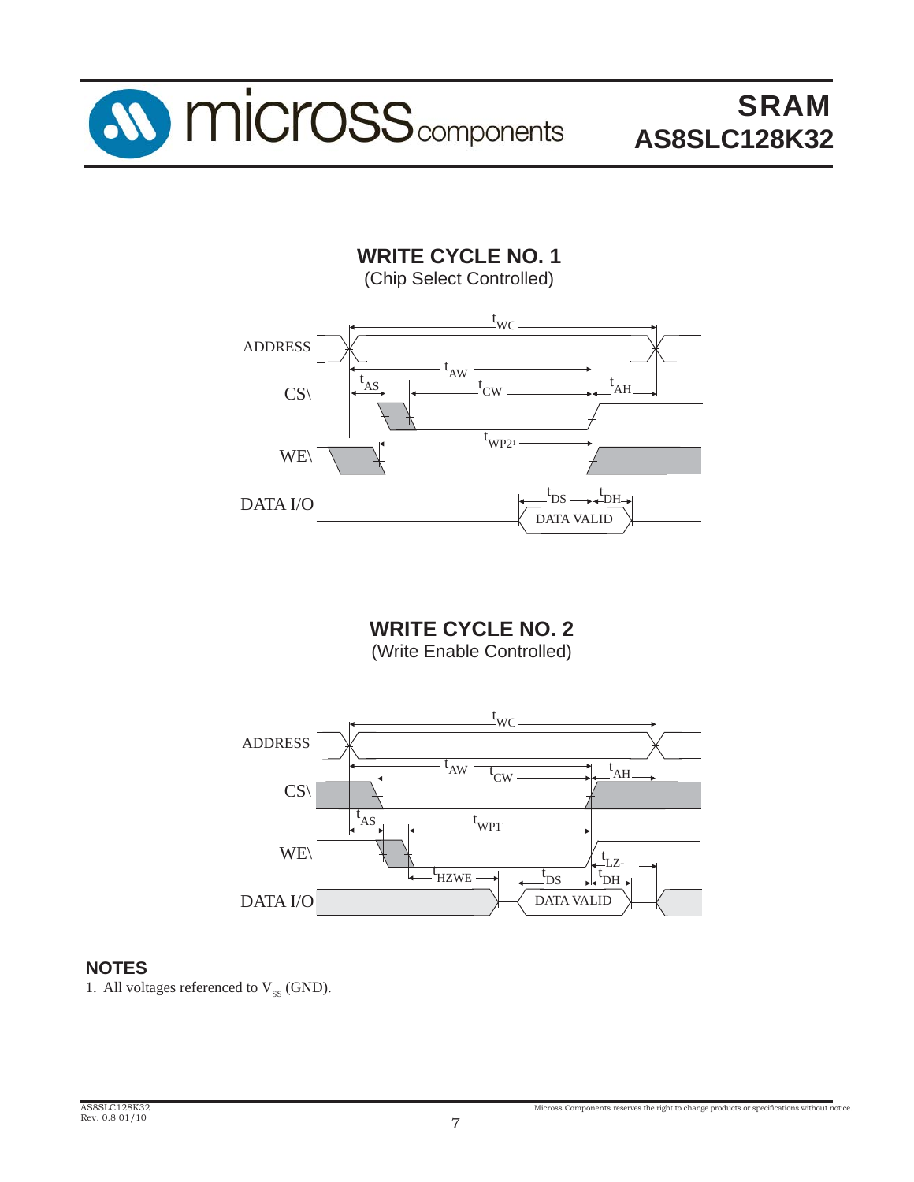

**WRITE CYCLE NO. 1** (Chip Select Controlled)



**WRITE CYCLE NO. 2** (Write Enable Controlled)



#### **NOTES**

1. All voltages referenced to  $V_{SS}$  (GND).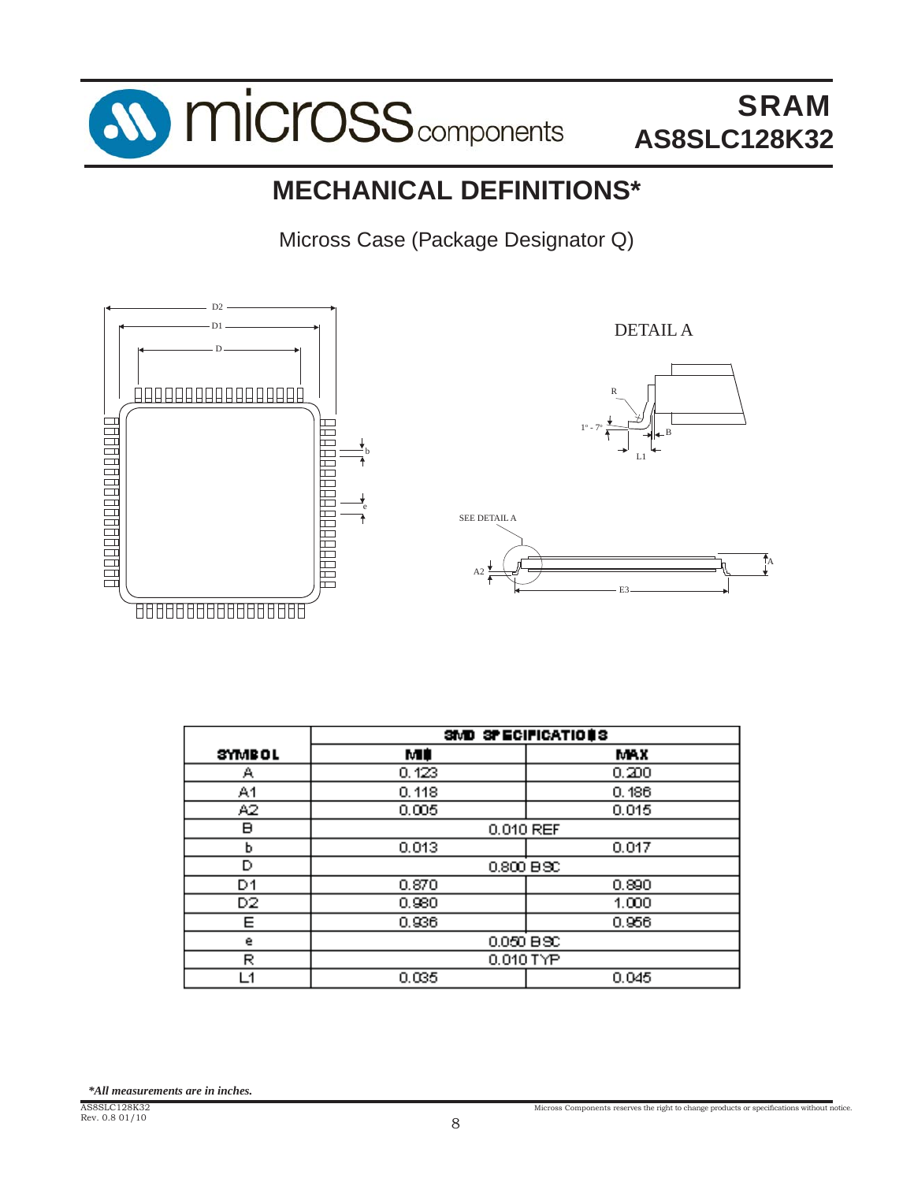

# **MECHANICAL DEFINITIONS\***

Micross Case (Package Designator Q)



|               | SMD SPECIFICATIONS |       |  |  |  |  |  |  |
|---------------|--------------------|-------|--|--|--|--|--|--|
| <b>SYMBOL</b> | м¢                 | MAX   |  |  |  |  |  |  |
| А             | 0.123              | 0.200 |  |  |  |  |  |  |
| A1            | 0.118              | 0.186 |  |  |  |  |  |  |
| A2            | 0.005              | 0.015 |  |  |  |  |  |  |
| в             | 0.010 REF          |       |  |  |  |  |  |  |
| ь             | 0.013              | 0.017 |  |  |  |  |  |  |
| D             | $0.800$ BSC        |       |  |  |  |  |  |  |
| D1            | 0.870              | 0.890 |  |  |  |  |  |  |
| D2            | 0.980              | 1.000 |  |  |  |  |  |  |
| Е             | 0.936              | 0.956 |  |  |  |  |  |  |
| е             | 0.050 BSC          |       |  |  |  |  |  |  |
| R             | 0.010 TYP          |       |  |  |  |  |  |  |
| -1            | 0.035              | 0.045 |  |  |  |  |  |  |

*\*All measurements are in inches.*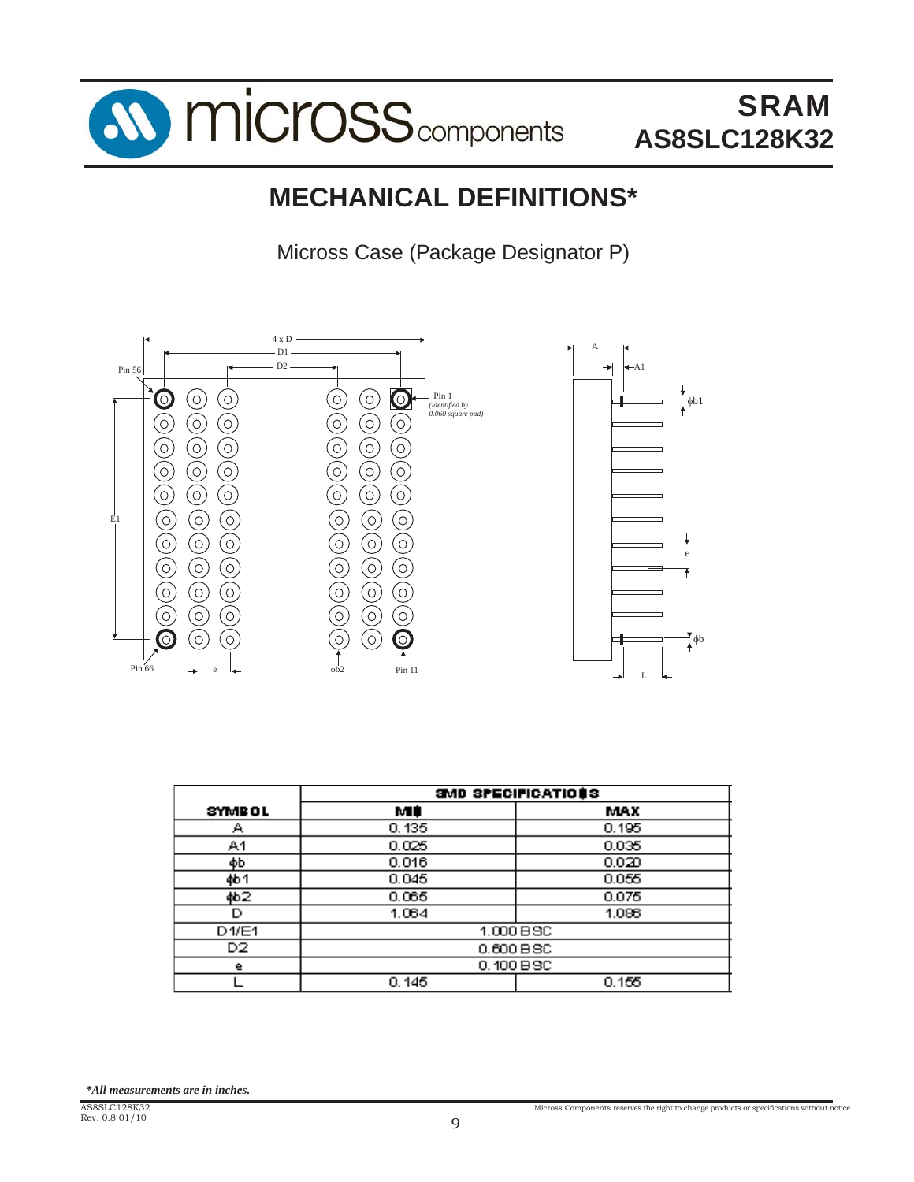

# **MECHANICAL DEFINITIONS\***

Micross Case (Package Designator P)



|               | SMD SPECIFICATIONS |           |  |  |  |  |  |  |  |
|---------------|--------------------|-----------|--|--|--|--|--|--|--|
| <b>SYMBOL</b> | мD                 | MAX       |  |  |  |  |  |  |  |
| Α             | 0.135              | 0.195     |  |  |  |  |  |  |  |
| A1            | 0.025              | 0.035     |  |  |  |  |  |  |  |
| фb            | 0.016              | 0.020     |  |  |  |  |  |  |  |
| <b>4b1</b>    | 0.045              | 0.055     |  |  |  |  |  |  |  |
| ф62           | 0.065              | 0.075     |  |  |  |  |  |  |  |
| D             | 1.064              | 1.086     |  |  |  |  |  |  |  |
| D1/E1         |                    | 1.000 BSC |  |  |  |  |  |  |  |
| D2.           | 0.600 BSC          |           |  |  |  |  |  |  |  |
| е             | 0.100 BSC          |           |  |  |  |  |  |  |  |
|               | 0.145              | 0.155     |  |  |  |  |  |  |  |

*\*All measurements are in inches.*